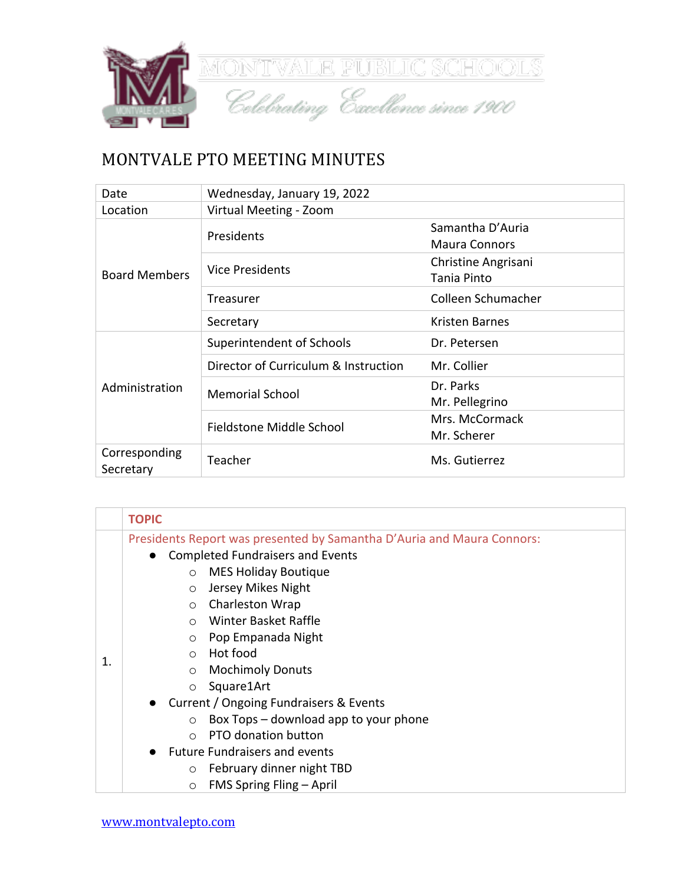

## MONTVALE PTO MEETING MINUTES

| Date                       | Wednesday, January 19, 2022          |                      |
|----------------------------|--------------------------------------|----------------------|
| Location                   | Virtual Meeting - Zoom               |                      |
| <b>Board Members</b>       | Presidents                           | Samantha D'Auria     |
|                            |                                      | <b>Maura Connors</b> |
|                            | <b>Vice Presidents</b>               | Christine Angrisani  |
|                            |                                      | Tania Pinto          |
|                            | Treasurer                            | Colleen Schumacher   |
|                            | Secretary                            | Kristen Barnes       |
|                            | Superintendent of Schools            | Dr. Petersen         |
|                            | Director of Curriculum & Instruction | Mr. Collier          |
| Administration             | <b>Memorial School</b>               | Dr. Parks            |
|                            |                                      | Mr. Pellegrino       |
|                            | Fieldstone Middle School             | Mrs. McCormack       |
|                            |                                      | Mr. Scherer          |
| Corresponding<br>Secretary | Teacher                              | Ms. Gutierrez        |

|    | <b>TOPIC</b>                                                                                                                   |
|----|--------------------------------------------------------------------------------------------------------------------------------|
| 1. | Presidents Report was presented by Samantha D'Auria and Maura Connors:<br><b>Completed Fundraisers and Events</b><br>$\bullet$ |
|    | <b>MES Holiday Boutique</b><br>$\circ$                                                                                         |
|    | Jersey Mikes Night<br>$\circ$                                                                                                  |
|    | Charleston Wrap<br>$\circ$                                                                                                     |
|    | Winter Basket Raffle<br>$\bigcirc$                                                                                             |
|    | Pop Empanada Night<br>$\circ$                                                                                                  |
|    | Hot food<br>$\bigcirc$                                                                                                         |
|    | <b>Mochimoly Donuts</b><br>$\circ$                                                                                             |
|    | Square1Art<br>$\circ$                                                                                                          |
|    | Current / Ongoing Fundraisers & Events<br>$\bullet$                                                                            |
|    | Box Tops – download app to your phone<br>$\circ$                                                                               |
|    | PTO donation button<br>$\bigcap$                                                                                               |
|    | <b>Future Fundraisers and events</b>                                                                                           |
|    | February dinner night TBD<br>$\circ$                                                                                           |
|    | FMS Spring Fling - April<br>$\circ$                                                                                            |